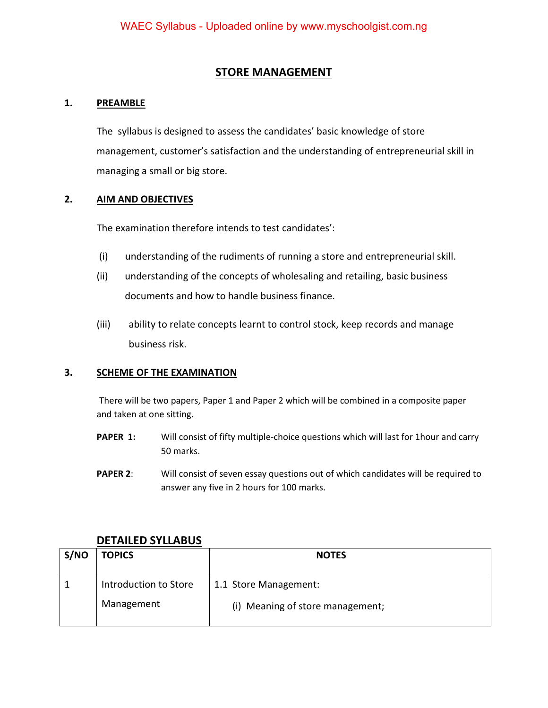#### **STORE MANAGEMENT**

#### **1. PREAMBLE**

 The syllabus is designed to assess the candidates' basic knowledge of store management, customer's satisfaction and the understanding of entrepreneurial skill in managing a small or big store.

#### **2. AIM AND OBJECTIVES**

The examination therefore intends to test candidates':

- (i) understanding of the rudiments of running a store and entrepreneurial skill.
- (ii) understanding of the concepts of wholesaling and retailing, basic business documents and how to handle business finance.
- (iii) ability to relate concepts learnt to control stock, keep records and manage business risk.

#### **3. SCHEME OF THE EXAMINATION**

There will be two papers, Paper 1 and Paper 2 which will be combined in a composite paper and taken at one sitting.

- **PAPER 1:** Will consist of fifty multiple-choice questions which will last for 1hour and carry 50 marks.
- **PAPER 2:** Will consist of seven essay questions out of which candidates will be required to answer any five in 2 hours for 100 marks.

| S/NO | <b>TOPICS</b>                       | <b>NOTES</b>                                              |
|------|-------------------------------------|-----------------------------------------------------------|
|      | Introduction to Store<br>Management | 1.1 Store Management:<br>(i) Meaning of store management; |

#### **DETAILED SYLLABUS**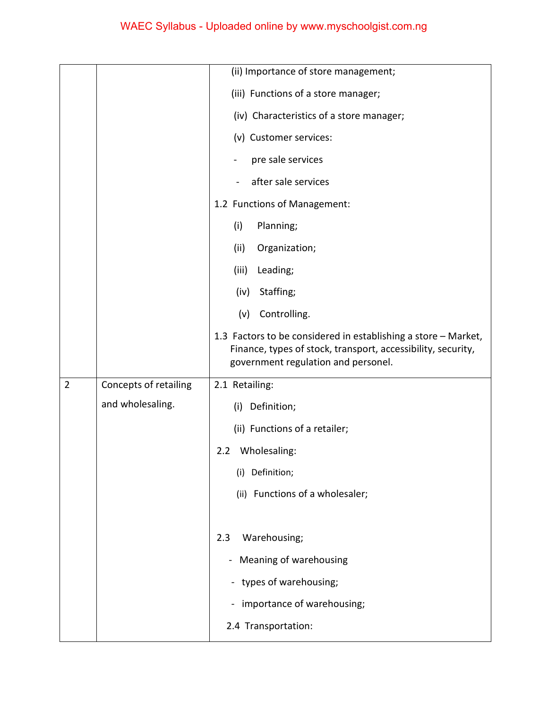|                |                       | (ii) Importance of store management;                                                                                                                                  |
|----------------|-----------------------|-----------------------------------------------------------------------------------------------------------------------------------------------------------------------|
|                |                       | (iii) Functions of a store manager;                                                                                                                                   |
|                |                       | (iv) Characteristics of a store manager;                                                                                                                              |
|                |                       | (v) Customer services:                                                                                                                                                |
|                |                       | pre sale services                                                                                                                                                     |
|                |                       | after sale services                                                                                                                                                   |
|                |                       | 1.2 Functions of Management:                                                                                                                                          |
|                |                       | Planning;<br>(i)                                                                                                                                                      |
|                |                       | (ii)<br>Organization;                                                                                                                                                 |
|                |                       | (iii)<br>Leading;                                                                                                                                                     |
|                |                       | Staffing;<br>(iv)                                                                                                                                                     |
|                |                       | Controlling.<br>(v)                                                                                                                                                   |
|                |                       | 1.3 Factors to be considered in establishing a store - Market,<br>Finance, types of stock, transport, accessibility, security,<br>government regulation and personel. |
| $\overline{2}$ | Concepts of retailing | 2.1 Retailing:                                                                                                                                                        |
|                | and wholesaling.      | (i) Definition;                                                                                                                                                       |
|                |                       |                                                                                                                                                                       |
|                |                       | (ii) Functions of a retailer;                                                                                                                                         |
|                |                       | Wholesaling:<br>2.2                                                                                                                                                   |
|                |                       | Definition;<br>(i)                                                                                                                                                    |
|                |                       | (ii) Functions of a wholesaler;                                                                                                                                       |
|                |                       |                                                                                                                                                                       |
|                |                       | 2.3<br>Warehousing;                                                                                                                                                   |
|                |                       | Meaning of warehousing<br>۰                                                                                                                                           |
|                |                       | - types of warehousing;                                                                                                                                               |
|                |                       | importance of warehousing;                                                                                                                                            |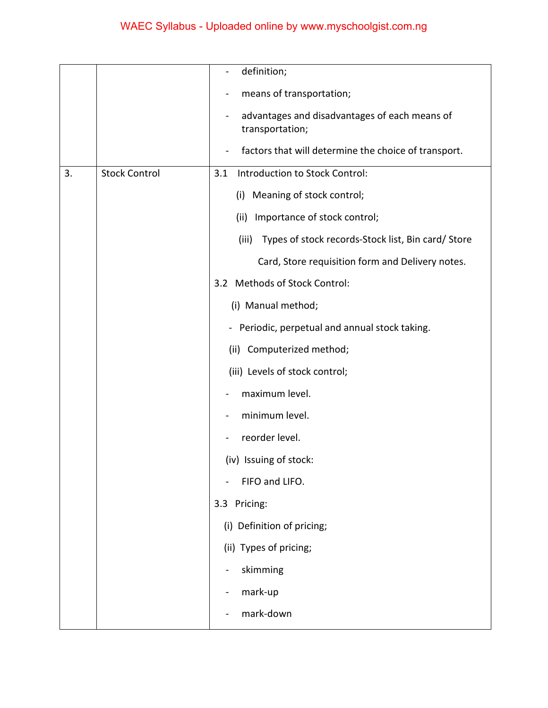|    |                      | definition;                                                      |
|----|----------------------|------------------------------------------------------------------|
|    |                      | means of transportation;                                         |
|    |                      | advantages and disadvantages of each means of<br>transportation; |
|    |                      | factors that will determine the choice of transport.             |
| 3. | <b>Stock Control</b> | Introduction to Stock Control:<br>3.1                            |
|    |                      | (i) Meaning of stock control;                                    |
|    |                      | (ii) Importance of stock control;                                |
|    |                      | Types of stock records-Stock list, Bin card/ Store<br>(iii)      |
|    |                      | Card, Store requisition form and Delivery notes.                 |
|    |                      | 3.2 Methods of Stock Control:                                    |
|    |                      | (i) Manual method;                                               |
|    |                      | - Periodic, perpetual and annual stock taking.                   |
|    |                      | (ii) Computerized method;                                        |
|    |                      | (iii) Levels of stock control;                                   |
|    |                      | maximum level.                                                   |
|    |                      | minimum level.                                                   |
|    |                      | reorder level.                                                   |
|    |                      | (iv) Issuing of stock:                                           |
|    |                      | FIFO and LIFO.                                                   |
|    |                      | 3.3 Pricing:                                                     |
|    |                      | (i) Definition of pricing;                                       |
|    |                      | (ii) Types of pricing;                                           |
|    |                      | skimming                                                         |
|    |                      | mark-up                                                          |
|    |                      | mark-down                                                        |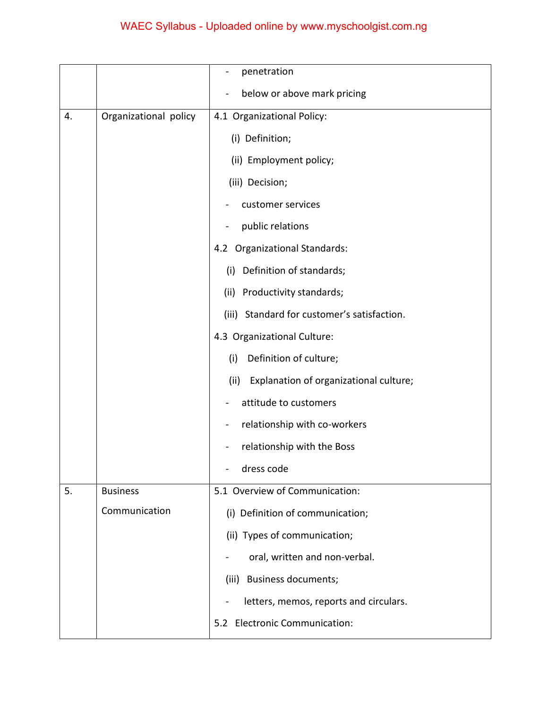|    |                       | penetration                                    |
|----|-----------------------|------------------------------------------------|
|    |                       | below or above mark pricing                    |
| 4. | Organizational policy | 4.1 Organizational Policy:                     |
|    |                       | (i) Definition;                                |
|    |                       | (ii) Employment policy;                        |
|    |                       | (iii) Decision;                                |
|    |                       | customer services                              |
|    |                       | public relations                               |
|    |                       | 4.2 Organizational Standards:                  |
|    |                       | Definition of standards;<br>(i)                |
|    |                       | (ii) Productivity standards;                   |
|    |                       | Standard for customer's satisfaction.<br>(iii) |
|    |                       | 4.3 Organizational Culture:                    |
|    |                       | Definition of culture;<br>(i)                  |
|    |                       | Explanation of organizational culture;<br>(ii) |
|    |                       | attitude to customers                          |
|    |                       | relationship with co-workers                   |
|    |                       | relationship with the Boss                     |
|    |                       | dress code                                     |
| 5. | <b>Business</b>       | 5.1 Overview of Communication:                 |
|    | Communication         | (i) Definition of communication;               |
|    |                       | (ii) Types of communication;                   |
|    |                       | oral, written and non-verbal.                  |
|    |                       | (iii) Business documents;                      |
|    |                       | letters, memos, reports and circulars.         |
|    |                       | 5.2 Electronic Communication:                  |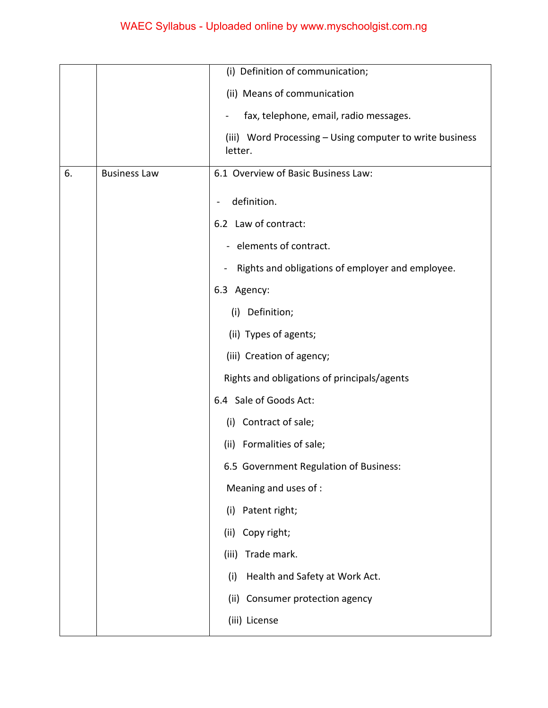|    |                     | (i) Definition of communication;                                    |
|----|---------------------|---------------------------------------------------------------------|
|    |                     | (ii) Means of communication                                         |
|    |                     | fax, telephone, email, radio messages.                              |
|    |                     | (iii) Word Processing - Using computer to write business<br>letter. |
| 6. | <b>Business Law</b> | 6.1 Overview of Basic Business Law:                                 |
|    |                     | definition.                                                         |
|    |                     | 6.2 Law of contract:                                                |
|    |                     | - elements of contract.                                             |
|    |                     | Rights and obligations of employer and employee.<br>$\frac{1}{2}$   |
|    |                     | 6.3 Agency:                                                         |
|    |                     | (i) Definition;                                                     |
|    |                     | (ii) Types of agents;                                               |
|    |                     | (iii) Creation of agency;                                           |
|    |                     | Rights and obligations of principals/agents                         |
|    |                     | 6.4 Sale of Goods Act:                                              |
|    |                     | (i) Contract of sale;                                               |
|    |                     | (ii) Formalities of sale;                                           |
|    |                     | 6.5 Government Regulation of Business:                              |
|    |                     | Meaning and uses of :                                               |
|    |                     | (i) Patent right;                                                   |
|    |                     | Copy right;<br>(ii)                                                 |
|    |                     | Trade mark.<br>(iii)                                                |
|    |                     | Health and Safety at Work Act.<br>(i)                               |
|    |                     | (ii) Consumer protection agency                                     |
|    |                     | (iii) License                                                       |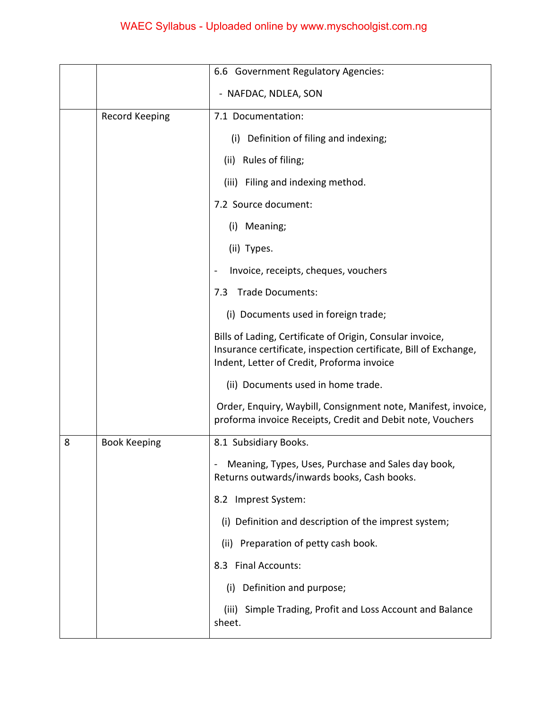|   |                       | 6.6 Government Regulatory Agencies:                                                                                                                                         |
|---|-----------------------|-----------------------------------------------------------------------------------------------------------------------------------------------------------------------------|
|   |                       | - NAFDAC, NDLEA, SON                                                                                                                                                        |
|   | <b>Record Keeping</b> | 7.1 Documentation:                                                                                                                                                          |
|   |                       | (i) Definition of filing and indexing;                                                                                                                                      |
|   |                       | (ii) Rules of filing;                                                                                                                                                       |
|   |                       | (iii) Filing and indexing method.                                                                                                                                           |
|   |                       | 7.2 Source document:                                                                                                                                                        |
|   |                       | (i) Meaning;                                                                                                                                                                |
|   |                       | (ii) Types.                                                                                                                                                                 |
|   |                       | Invoice, receipts, cheques, vouchers                                                                                                                                        |
|   |                       | <b>Trade Documents:</b><br>7.3                                                                                                                                              |
|   |                       | (i) Documents used in foreign trade;                                                                                                                                        |
|   |                       | Bills of Lading, Certificate of Origin, Consular invoice,<br>Insurance certificate, inspection certificate, Bill of Exchange,<br>Indent, Letter of Credit, Proforma invoice |
|   |                       | (ii) Documents used in home trade.                                                                                                                                          |
|   |                       | Order, Enquiry, Waybill, Consignment note, Manifest, invoice,<br>proforma invoice Receipts, Credit and Debit note, Vouchers                                                 |
| 8 | <b>Book Keeping</b>   | 8.1 Subsidiary Books.                                                                                                                                                       |
|   |                       | Meaning, Types, Uses, Purchase and Sales day book,<br>Returns outwards/inwards books, Cash books.                                                                           |
|   |                       | 8.2 Imprest System:                                                                                                                                                         |
|   |                       | (i) Definition and description of the imprest system;                                                                                                                       |
|   |                       | (ii) Preparation of petty cash book.                                                                                                                                        |
|   |                       | 8.3 Final Accounts:                                                                                                                                                         |
|   |                       | (i) Definition and purpose;                                                                                                                                                 |
|   |                       | Simple Trading, Profit and Loss Account and Balance<br>(iii)<br>sheet.                                                                                                      |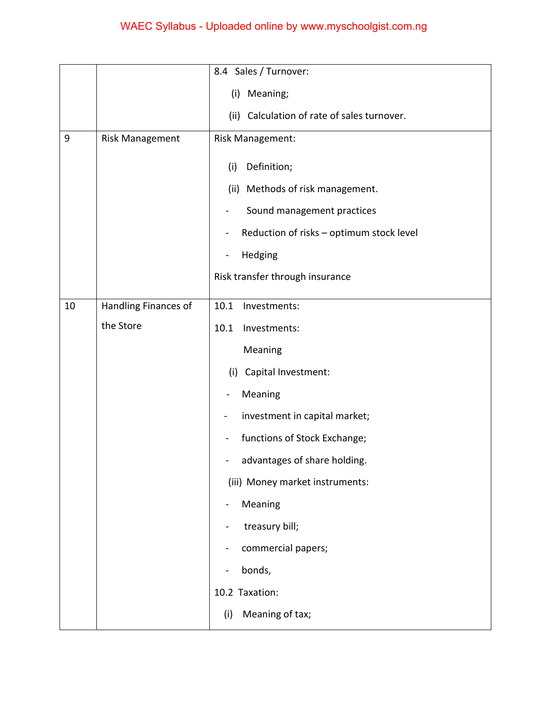|       |                      | 8.4 Sales / Turnover:                                      |
|-------|----------------------|------------------------------------------------------------|
|       |                      | Meaning;<br>(i)                                            |
|       |                      | (ii) Calculation of rate of sales turnover.                |
| $9\,$ | Risk Management      | Risk Management:                                           |
|       |                      | Definition;<br>(i)                                         |
|       |                      | (ii) Methods of risk management.                           |
|       |                      | Sound management practices                                 |
|       |                      | Reduction of risks - optimum stock level<br>$\blacksquare$ |
|       |                      | Hedging<br>$\overline{\phantom{0}}$                        |
|       |                      | Risk transfer through insurance                            |
| 10    | Handling Finances of | 10.1<br>Investments:                                       |
|       | the Store            | 10.1<br>Investments:                                       |
|       |                      | Meaning                                                    |
|       |                      |                                                            |
|       |                      | (i) Capital Investment:                                    |
|       |                      | Meaning                                                    |
|       |                      | investment in capital market;                              |
|       |                      | functions of Stock Exchange;<br>$\overline{\phantom{0}}$   |
|       |                      | advantages of share holding.                               |
|       |                      | (iii) Money market instruments:                            |
|       |                      | Meaning                                                    |
|       |                      | treasury bill;                                             |
|       |                      | commercial papers;                                         |
|       |                      | bonds,                                                     |
|       |                      | 10.2 Taxation:                                             |
|       |                      | Meaning of tax;<br>(i)                                     |